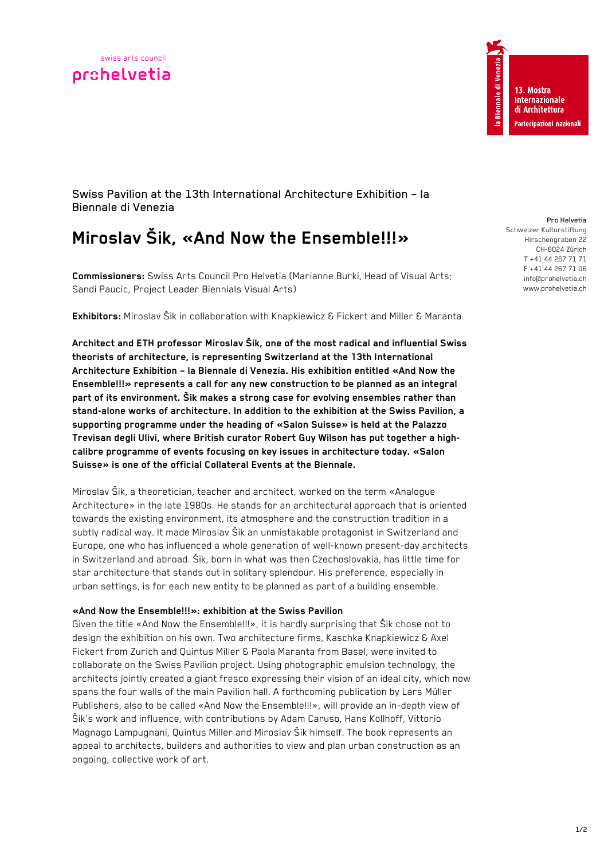

Swiss Pavilion at the 13th International Architecture Exhibition – la Biennale di Venezia

# **Miroslav Šik, «And Now the Ensemble!!!»**

**Commissioners:** Swiss Arts Council Pro Helvetia (Marianne Burki, Head of Visual Arts; Sandi Paucic, Project Leader Biennials Visual Arts)

**Exhibitors:** Miroslav Šik in collaboration with Knapkiewicz & Fickert and Miller & Maranta

**Architect and ETH professor Miroslav Šik, one of the most radical and influential Swiss theorists of architecture, is representing Switzerland at the 13th International Architecture Exhibition – la Biennale di Venezia. His exhibition entitled «And Now the Ensemble!!!» represents a call for any new construction to be planned as an integral part of its environment. Šik makes a strong case for evolving ensembles rather than stand-alone works of architecture. In addition to the exhibition at the Swiss Pavilion, a supporting programme under the heading of «Salon Suisse» is held at the Palazzo Trevisan degli Ulivi, where British curator Robert Guy Wilson has put together a highcalibre programme of events focusing on key issues in architecture today. «Salon Suisse» is one of the official Collateral Events at the Biennale.** 

Miroslav Šik, a theoretician, teacher and architect, worked on the term «Analogue Architecture» in the late 1980s. He stands for an architectural approach that is oriented towards the existing environment, its atmosphere and the construction tradition in a subtly radical way. It made Miroslav Šik an unmistakable protagonist in Switzerland and Europe, one who has influenced a whole generation of well-known present-day architects in Switzerland and abroad. Šik, born in what was then Czechoslovakia, has little time for star architecture that stands out in solitary splendour. His preference, especially in urban settings, is for each new entity to be planned as part of a building ensemble.

## **«And Now the Ensemble!!!»: exhibition at the Swiss Pavilion**

Given the title «And Now the Ensemble!!!», it is hardly surprising that Šik chose not to design the exhibition on his own. Two architecture firms, Kaschka Knapkiewicz & Axel Fickert from Zurich and Quintus Miller & Paola Maranta from Basel, were invited to collaborate on the Swiss Pavilion project. Using photographic emulsion technology, the architects jointly created a giant fresco expressing their vision of an ideal city, which now spans the four walls of the main Pavilion hall. A forthcoming publication by Lars Müller Publishers, also to be called «And Now the Ensemble!!!», will provide an in-depth view of Šik's work and influence, with contributions by Adam Caruso, Hans Kollhoff, Vittorio Magnago Lampugnani, Quintus Miller and Miroslav Šik himself. The book represents an appeal to architects, builders and authorities to view and plan urban construction as an ongoing, collective work of art.

#### Pro Helvetia Schweizer Kulturstiftung

Hirschengraben 22 CH-8024 Zürich T +41 44 267 71 71 F +41 44 267 71 06 info@prohelvetia.ch www.prohelvetia.ch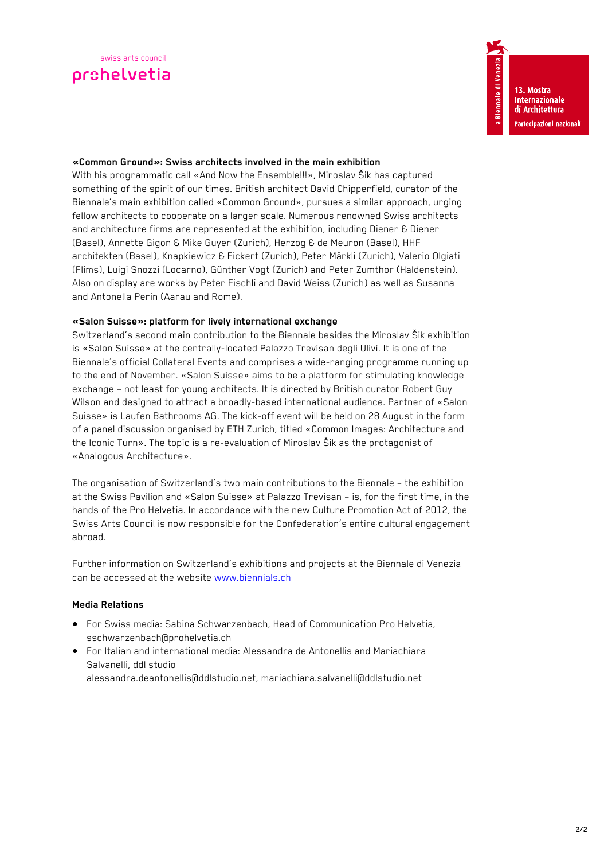### **«Common Ground»: Swiss architects involved in the main exhibition**

With his programmatic call «And Now the Ensemble!!!», Miroslav Šik has captured something of the spirit of our times. British architect David Chipperfield, curator of the Biennale's main exhibition called «Common Ground», pursues a similar approach, urging fellow architects to cooperate on a larger scale. Numerous renowned Swiss architects and architecture firms are represented at the exhibition, including Diener & Diener (Basel), Annette Gigon & Mike Guyer (Zurich), Herzog & de Meuron (Basel), HHF architekten (Basel), Knapkiewicz & Fickert (Zurich), Peter Märkli (Zurich), Valerio Olgiati (Flims), Luigi Snozzi (Locarno), Günther Vogt (Zurich) and Peter Zumthor (Haldenstein). Also on display are works by Peter Fischli and David Weiss (Zurich) as well as Susanna and Antonella Perin (Aarau and Rome).

### **«Salon Suisse»: platform for lively international exchange**

Switzerland's second main contribution to the Biennale besides the Miroslav Šik exhibition is «Salon Suisse» at the centrally-located Palazzo Trevisan degli Ulivi. It is one of the Biennale's official Collateral Events and comprises a wide-ranging programme running up to the end of November. «Salon Suisse» aims to be a platform for stimulating knowledge exchange – not least for young architects. It is directed by British curator Robert Guy Wilson and designed to attract a broadly-based international audience. Partner of «Salon Suisse» is Laufen Bathrooms AG. The kick-off event will be held on 28 August in the form of a panel discussion organised by ETH Zurich, titled «Common Images: Architecture and the Iconic Turn». The topic is a re-evaluation of Miroslav Šik as the protagonist of «Analogous Architecture».

The organisation of Switzerland's two main contributions to the Biennale – the exhibition at the Swiss Pavilion and «Salon Suisse» at Palazzo Trevisan – is, for the first time, in the hands of the Pro Helvetia. In accordance with the new Culture Promotion Act of 2012, the Swiss Arts Council is now responsible for the Confederation's entire cultural engagement abroad.

Further information on Switzerland's exhibitions and projects at the Biennale di Venezia can be accessed at the website www.biennials.ch

## **Media Relations**

- For Swiss media: Sabina Schwarzenbach, Head of Communication Pro Helvetia, sschwarzenbach@prohelvetia.ch
- For Italian and international media: Alessandra de Antonellis and Mariachiara Salvanelli, ddl studio alessandra.deantonellis@ddlstudio.net, mariachiara.salvanelli@ddlstudio.net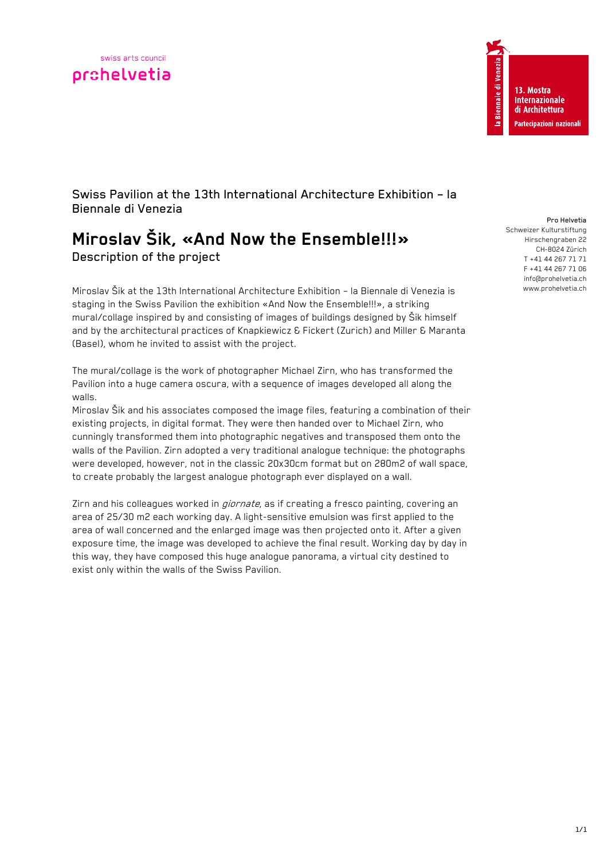



Swiss Pavilion at the 13th International Architecture Exhibition – la Biennale di Venezia

# **Miroslav Šik, «And Now the Ensemble!!!»**  Description of the project

Miroslav Šik at the 13th International Architecture Exhibition – la Biennale di Venezia is staging in the Swiss Pavilion the exhibition «And Now the Ensemble!!!», a striking mural/collage inspired by and consisting of images of buildings designed by Šik himself and by the architectural practices of Knapkiewicz & Fickert (Zurich) and Miller & Maranta (Basel), whom he invited to assist with the project.

The mural/collage is the work of photographer Michael Zirn, who has transformed the Pavilion into a huge camera oscura, with a sequence of images developed all along the walls.

Miroslav Šik and his associates composed the image files, featuring a combination of their existing projects, in digital format. They were then handed over to Michael Zirn, who cunningly transformed them into photographic negatives and transposed them onto the walls of the Pavilion. Zirn adopted a very traditional analogue technique: the photographs were developed, however, not in the classic 20x30cm format but on 280m2 of wall space, to create probably the largest analogue photograph ever displayed on a wall.

Zirn and his colleagues worked in *giornate*, as if creating a fresco painting, covering an area of 25/30 m2 each working day. A light-sensitive emulsion was first applied to the area of wall concerned and the enlarged image was then projected onto it. After a given exposure time, the image was developed to achieve the final result. Working day by day in this way, they have composed this huge analogue panorama, a virtual city destined to exist only within the walls of the Swiss Pavilion.

Pro Helvetia

Schweizer Kulturstiftung Hirschengraben 22 CH-8024 Zürich T +41 44 267 71 71 F +41 44 267 71 06 info@prohelvetia.ch www.prohelvetia.ch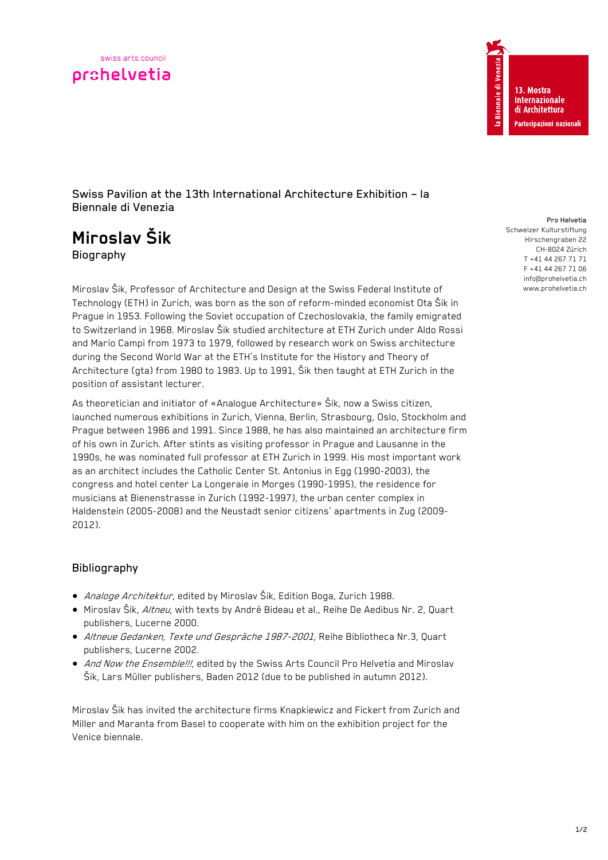



Swiss Pavilion at the 13th International Architecture Exhibition – la Biennale di Venezia

# **Miroslav Šik**  Biography

Miroslav Šik, Professor of Architecture and Design at the Swiss Federal Institute of Technology (ETH) in Zurich, was born as the son of reform-minded economist Ota Šik in Prague in 1953. Following the Soviet occupation of Czechoslovakia, the family emigrated to Switzerland in 1968. Miroslav Šik studied architecture at ETH Zurich under Aldo Rossi and Mario Campi from 1973 to 1979, followed by research work on Swiss architecture during the Second World War at the ETH's Institute for the History and Theory of Architecture (gta) from 1980 to 1983. Up to 1991, Šik then taught at ETH Zurich in the position of assistant lecturer.

As theoretician and initiator of «Analogue Architecture» Šik, now a Swiss citizen, launched numerous exhibitions in Zurich, Vienna, Berlin, Strasbourg, Oslo, Stockholm and Prague between 1986 and 1991. Since 1988, he has also maintained an architecture firm of his own in Zurich. After stints as visiting professor in Prague and Lausanne in the 1990s, he was nominated full professor at ETH Zurich in 1999. His most important work as an architect includes the Catholic Center St. Antonius in Egg (1990-2003), the congress and hotel center La Longeraie in Morges (1990-1995), the residence for musicians at Bienenstrasse in Zurich (1992-1997), the urban center complex in Haldenstein (2005-2008) and the Neustadt senior citizens' apartments in Zug (2009- 2012).

# Bibliography

- *Analoge Architektur*, edited by Miroslav Šik, Edition Boga, Zurich 1988.
- $\bullet$  Miroslav Šik, Altneu, with texts by André Bideau et al., Reihe De Aedibus Nr. 2, Quart publishers, Lucerne 2000.
- Altneue Gedanken, Texte und Gespräche 1987-2001, Reihe Bibliotheca Nr.3, Quart publishers, Lucerne 2002.
- And Now the Ensemble!!!, edited by the Swiss Arts Council Pro Helvetia and Miroslav Šik, Lars Müller publishers, Baden 2012 (due to be published in autumn 2012).

Miroslav Šik has invited the architecture firms Knapkiewicz and Fickert from Zurich and Miller and Maranta from Basel to cooperate with him on the exhibition project for the Venice biennale.

#### Pro Helvetia

Schweizer Kulturstiftung Hirschengraben 22 CH-8024 Zürich T +41 44 267 71 71 F +41 44 267 71 06 info@prohelvetia.ch www.prohelvetia.ch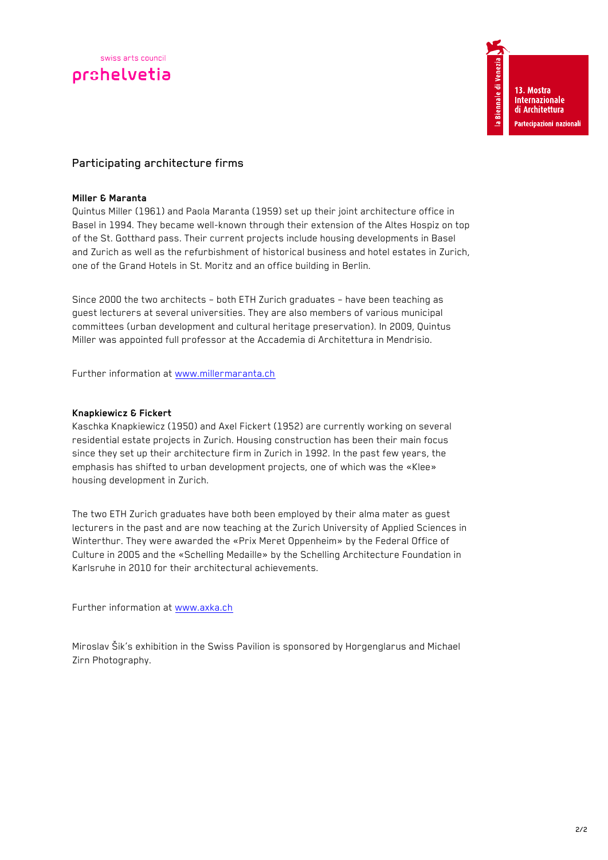# Participating architecture firms

## **Miller & Maranta**

Quintus Miller (1961) and Paola Maranta (1959) set up their joint architecture office in Basel in 1994. They became well-known through their extension of the Altes Hospiz on top of the St. Gotthard pass. Their current projects include housing developments in Basel and Zurich as well as the refurbishment of historical business and hotel estates in Zurich, one of the Grand Hotels in St. Moritz and an office building in Berlin.

Since 2000 the two architects – both ETH Zurich graduates – have been teaching as guest lecturers at several universities. They are also members of various municipal committees (urban development and cultural heritage preservation). In 2009, Quintus Miller was appointed full professor at the Accademia di Architettura in Mendrisio.

Further information at www.millermaranta.ch

## **Knapkiewicz & Fickert**

Kaschka Knapkiewicz (1950) and Axel Fickert (1952) are currently working on several residential estate projects in Zurich. Housing construction has been their main focus since they set up their architecture firm in Zurich in 1992. In the past few years, the emphasis has shifted to urban development projects, one of which was the «Klee» housing development in Zurich.

The two ETH Zurich graduates have both been employed by their alma mater as guest lecturers in the past and are now teaching at the Zurich University of Applied Sciences in Winterthur. They were awarded the «Prix Meret Oppenheim» by the Federal Office of Culture in 2005 and the «Schelling Medaille» by the Schelling Architecture Foundation in Karlsruhe in 2010 for their architectural achievements.

Further information at www.axka.ch

Miroslav Šik's exhibition in the Swiss Pavilion is sponsored by Horgenglarus and Michael Zirn Photography.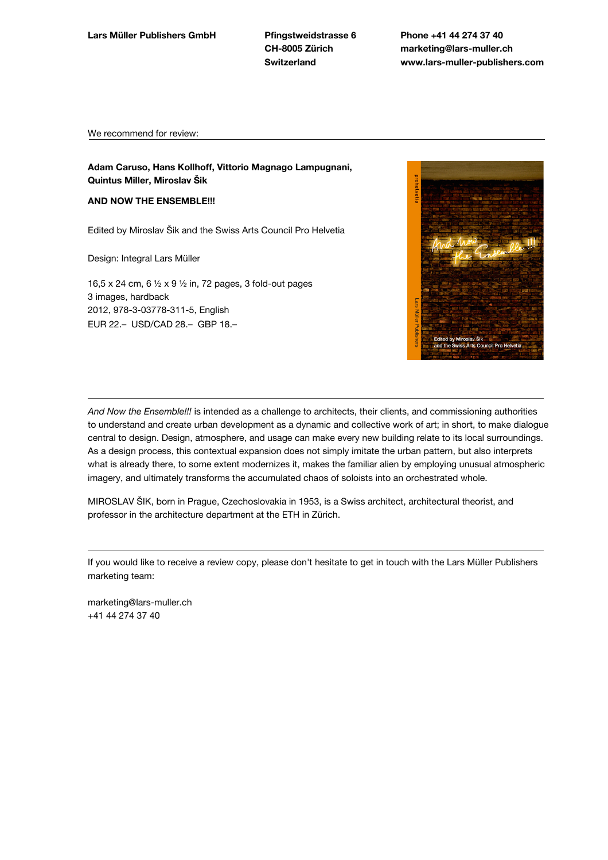**CH-8005 Zürich Switzerland**

**Phone +41 44 274 37 40 marketing@lars-muller.ch www.lars-muller-publishers.com**

We recommend for review:

**Adam Caruso, Hans Kollhoff, Vittorio Magnago Lampugnani, Quintus Miller, Miroslav Šik**

### **AND NOW THE ENSEMBLE!!!**

Edited by Miroslav Šik and the Swiss Arts Council Pro Helvetia

Design: Integral Lars Müller

16,5 x 24 cm, 6 ½ x 9 ½ in, 72 pages, 3 fold-out pages 3 images, hardback 2012, 978-3-03778-311-5, English EUR 22.– USD/CAD 28.– GBP 18.–



*And Now the Ensemble!!!* is intended as a challenge to architects, their clients, and commissioning authorities to understand and create urban development as a dynamic and collective work of art; in short, to make dialogue central to design. Design, atmosphere, and usage can make every new building relate to its local surroundings. As a design process, this contextual expansion does not simply imitate the urban pattern, but also interprets what is already there, to some extent modernizes it, makes the familiar alien by employing unusual atmospheric imagery, and ultimately transforms the accumulated chaos of soloists into an orchestrated whole.

MIROSLAV ŠIK, born in Prague, Czechoslovakia in 1953, is a Swiss architect, architectural theorist, and professor in the architecture department at the ETH in Zürich.

If you would like to receive a review copy, please don't hesitate to get in touch with the Lars Müller Publishers marketing team:

marketing@lars-muller.ch +41 44 274 37 40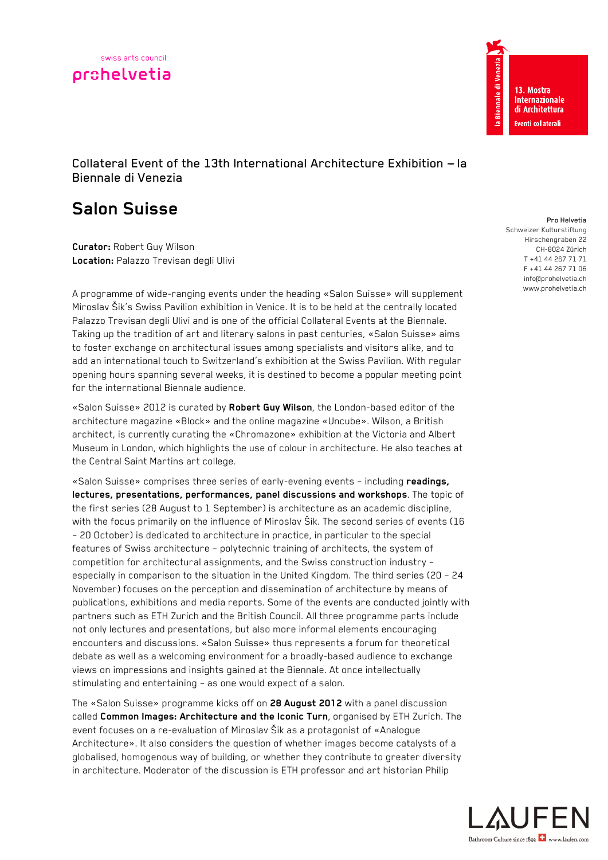



Collateral Event of the 13th International Architecture Exhibition  $-$  la Biennale di Venezia

# **Salon Suisse**

**Curator:** Robert Guy Wilson **Location:** Palazzo Trevisan degli Ulivi

A programme of wide-ranging events under the heading «Salon Suisse» will supplement Miroslav Šik's Swiss Pavilion exhibition in Venice. It is to be held at the centrally located Palazzo Trevisan degli Ulivi and is one of the official Collateral Events at the Biennale. Taking up the tradition of art and literary salons in past centuries, «Salon Suisse» aims to foster exchange on architectural issues among specialists and visitors alike, and to add an international touch to Switzerland's exhibition at the Swiss Pavilion. With regular opening hours spanning several weeks, it is destined to become a popular meeting point for the international Biennale audience.

«Salon Suisse» 2012 is curated by **Robert Guy Wilson**, the London-based editor of the architecture magazine «Block» and the online magazine «Uncube». Wilson, a British architect, is currently curating the «Chromazone» exhibition at the Victoria and Albert Museum in London, which highlights the use of colour in architecture. He also teaches at the Central Saint Martins art college.

«Salon Suisse» comprises three series of early-evening events – including **readings, lectures, presentations, performances, panel discussions and workshops**. The topic of the first series (28 August to 1 September) is architecture as an academic discipline, with the focus primarily on the influence of Miroslav Šik. The second series of events (16 – 20 October) is dedicated to architecture in practice, in particular to the special features of Swiss architecture – polytechnic training of architects, the system of competition for architectural assignments, and the Swiss construction industry – especially in comparison to the situation in the United Kingdom. The third series (20 – 24 November) focuses on the perception and dissemination of architecture by means of publications, exhibitions and media reports. Some of the events are conducted jointly with partners such as ETH Zurich and the British Council. All three programme parts include not only lectures and presentations, but also more informal elements encouraging encounters and discussions. «Salon Suisse» thus represents a forum for theoretical debate as well as a welcoming environment for a broadly-based audience to exchange views on impressions and insights gained at the Biennale. At once intellectually stimulating and entertaining – as one would expect of a salon.

The «Salon Suisse» programme kicks off on **28 August 2012** with a panel discussion called **Common Images: Architecture and the Iconic Turn**, organised by ETH Zurich. The event focuses on a re-evaluation of Miroslav Šik as a protagonist of «Analogue Architecture». It also considers the question of whether images become catalysts of a globalised, homogenous way of building, or whether they contribute to greater diversity in architecture. Moderator of the discussion is ETH professor and art historian Philip

Pro Helvetia Schweizer Kulturstiftung Hirschengraben 22 CH-8024 Zürich T +41 44 267 71 71 F +41 44 267 71 06 info@prohelvetia.ch www.prohelvetia.ch

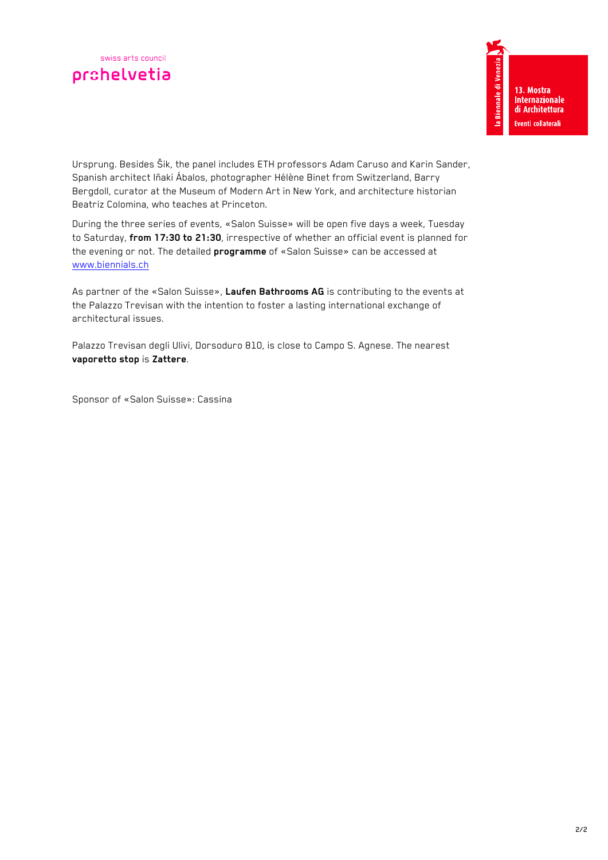Ursprung. Besides Šik, the panel includes ETH professors Adam Caruso and Karin Sander, Spanish architect Iñaki Ábalos, photographer Hélène Binet from Switzerland, Barry Bergdoll, curator at the Museum of Modern Art in New York, and architecture historian Beatriz Colomina, who teaches at Princeton.

During the three series of events, «Salon Suisse» will be open five days a week, Tuesday to Saturday, **from 17:30 to 21:30**, irrespective of whether an official event is planned for the evening or not. The detailed **programme** of «Salon Suisse» can be accessed at www.biennials.ch

As partner of the «Salon Suisse», **Laufen Bathrooms AG** is contributing to the events at the Palazzo Trevisan with the intention to foster a lasting international exchange of architectural issues.

Palazzo Trevisan degli Ulivi, Dorsoduro 810, is close to Campo S. Agnese. The nearest **vaporetto stop** is **Zattere**.

Sponsor of «Salon Suisse»: Cassina